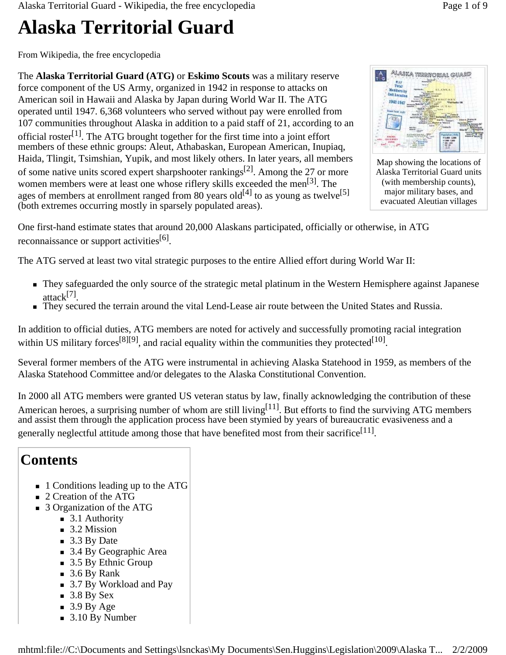Alaska Territorial Guard - Wikipedia, the free encyclopedia Page 1 of 9

# **Alaska Territorial Guard**

From Wikipedia, the free encyclopedia

The **Alaska Territorial Guard (ATG)** or **Eskimo Scouts** was a military reserve force component of the US Army, organized in 1942 in response to attacks on American soil in Hawaii and Alaska by Japan during World War II. The ATG operated until 1947. 6,368 volunteers who served without pay were enrolled from 107 communities throughout Alaska in addition to a paid staff of 21, according to an official roster<sup>[1]</sup>. The ATG brought together for the first time into a joint effort members of these ethnic groups: Aleut, Athabaskan, European American, Inupiaq, Haida, Tlingit, Tsimshian, Yupik, and most likely others. In later years, all members of some native units scored expert sharpshooter rankings<sup>[2]</sup>. Among the 27 or more women members were at least one whose riflery skills exceeded the men<sup>[3]</sup>. The ages of members at enrollment ranged from 80 years old<sup>[4]</sup> to as young as twelve<sup>[5]</sup> (both extremes occurring mostly in sparsely populated areas).



Map showing the locations of Alaska Territorial Guard units (with membership counts), major military bases, and evacuated Aleutian villages

One first-hand estimate states that around 20,000 Alaskans participated, officially or otherwise, in ATG reconnaissance or support activities<sup>[6]</sup>.

The ATG served at least two vital strategic purposes to the entire Allied effort during World War II:

- They safeguarded the only source of the strategic metal platinum in the Western Hemisphere against Japanese attack[7].
- They secured the terrain around the vital Lend-Lease air route between the United States and Russia.

In addition to official duties, ATG members are noted for actively and successfully promoting racial integration within US military forces<sup>[8][9]</sup>, and racial equality within the communities they protected<sup>[10]</sup>.

Several former members of the ATG were instrumental in achieving Alaska Statehood in 1959, as members of the Alaska Statehood Committee and/or delegates to the Alaska Constitutional Convention.

In 2000 all ATG members were granted US veteran status by law, finally acknowledging the contribution of these American heroes, a surprising number of whom are still living<sup>[11]</sup>. But efforts to find the surviving ATG members and assist them through the application process have been stymied by years of bureaucratic evasiveness and a generally neglectful attitude among those that have benefited most from their sacrifice<sup>[11]</sup>.

### **Contents**

- 1 Conditions leading up to the ATG
- 2 Creation of the ATG
- 3 Organization of the ATG
	- 3.1 Authority
	- $\blacksquare$  3.2 Mission
	- $\blacksquare$  3.3 By Date
	- 3.4 By Geographic Area
	- 3.5 By Ethnic Group
	- $\blacksquare$  3.6 By Rank
	- 3.7 By Workload and Pay
	- $\blacksquare$  3.8 By Sex
	- $\blacksquare$  3.9 By Age
	- 3.10 By Number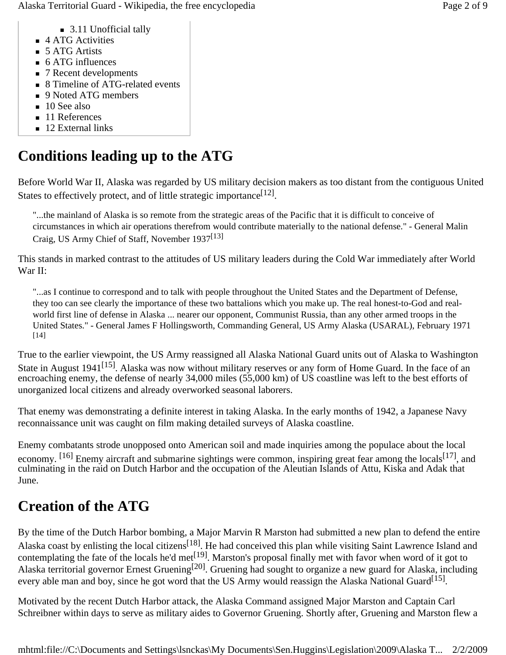Alaska Territorial Guard - Wikipedia, the free encyclopedia **Page 2 of 9** and 2 of 9

- 3.11 Unofficial tally
- 4 ATG Activities
- 5 ATG Artists
- 6 ATG influences
- 7 Recent developments
- 8 Timeline of ATG-related events
- 9 Noted ATG members
- $\blacksquare$  10 See also
- 11 References
- $\blacksquare$  12 External links

# **Conditions leading up to the ATG**

Before World War II, Alaska was regarded by US military decision makers as too distant from the contiguous United States to effectively protect, and of little strategic importance  $[12]$ .

"...the mainland of Alaska is so remote from the strategic areas of the Pacific that it is difficult to conceive of circumstances in which air operations therefrom would contribute materially to the national defense." - General Malin Craig, US Army Chief of Staff, November 1937[13]

This stands in marked contrast to the attitudes of US military leaders during the Cold War immediately after World War II:

"...as I continue to correspond and to talk with people throughout the United States and the Department of Defense, they too can see clearly the importance of these two battalions which you make up. The real honest-to-God and realworld first line of defense in Alaska ... nearer our opponent, Communist Russia, than any other armed troops in the United States." - General James F Hollingsworth, Commanding General, US Army Alaska (USARAL), February 1971 [14]

True to the earlier viewpoint, the US Army reassigned all Alaska National Guard units out of Alaska to Washington State in August 1941<sup>[15]</sup>. Alaska was now without military reserves or any form of Home Guard. In the face of an encroaching enemy, the defense of nearly 34,000 miles (55,000 km) of US coastline was left to the best efforts of unorganized local citizens and already overworked seasonal laborers.

That enemy was demonstrating a definite interest in taking Alaska. In the early months of 1942, a Japanese Navy reconnaissance unit was caught on film making detailed surveys of Alaska coastline.

Enemy combatants strode unopposed onto American soil and made inquiries among the populace about the local economy. [16] Enemy aircraft and submarine sightings were common, inspiring great fear among the locals<sup>[17]</sup>, and culminating in the raid on Dutch Harbor and the occupation of the Aleutian Islands of Attu, Kiska and Adak that June.

# **Creation of the ATG**

By the time of the Dutch Harbor bombing, a Major Marvin R Marston had submitted a new plan to defend the entire Alaska coast by enlisting the local citizens<sup>[18]</sup>. He had conceived this plan while visiting Saint Lawrence Island and contemplating the fate of the locals he'd met $^{[19]}$ . Marston's proposal finally met with favor when word of it got to Alaska territorial governor Ernest Gruening[20]. Gruening had sought to organize a new guard for Alaska, including every able man and boy, since he got word that the US Army would reassign the Alaska National Guard<sup>[15]</sup>.

Motivated by the recent Dutch Harbor attack, the Alaska Command assigned Major Marston and Captain Carl Schreibner within days to serve as military aides to Governor Gruening. Shortly after, Gruening and Marston flew a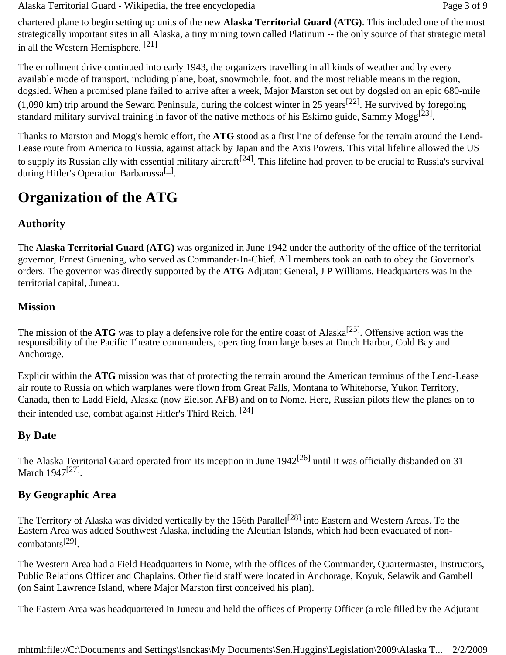Alaska Territorial Guard - Wikipedia, the free encyclopedia Page 3 of 9

chartered plane to begin setting up units of the new **Alaska Territorial Guard (ATG)**. This included one of the most strategically important sites in all Alaska, a tiny mining town called Platinum -- the only source of that strategic metal in all the Western Hemisphere. [21]

The enrollment drive continued into early 1943, the organizers travelling in all kinds of weather and by every available mode of transport, including plane, boat, snowmobile, foot, and the most reliable means in the region, dogsled. When a promised plane failed to arrive after a week, Major Marston set out by dogsled on an epic 680-mile  $(1,090 \text{ km})$  trip around the Seward Peninsula, during the coldest winter in 25 years<sup>[22]</sup>. He survived by foregoing standard military survival training in favor of the native methods of his Eskimo guide, Sammy Mogg<sup>[23]</sup>.

Thanks to Marston and Mogg's heroic effort, the **ATG** stood as a first line of defense for the terrain around the Lend-Lease route from America to Russia, against attack by Japan and the Axis Powers. This vital lifeline allowed the US to supply its Russian ally with essential military aircraft<sup>[24]</sup>. This lifeline had proven to be crucial to Russia's survival during Hitler's Operation Barbarossa<sup>[1]</sup>.

### **Organization of the ATG**

#### **Authority**

The **Alaska Territorial Guard (ATG)** was organized in June 1942 under the authority of the office of the territorial governor, Ernest Gruening, who served as Commander-In-Chief. All members took an oath to obey the Governor's orders. The governor was directly supported by the **ATG** Adjutant General, J P Williams. Headquarters was in the territorial capital, Juneau.

#### **Mission**

The mission of the  $\text{ATG}$  was to play a defensive role for the entire coast of Alaska<sup>[25]</sup>. Offensive action was the responsibility of the Pacific Theatre commanders, operating from large bases at Dutch Harbor, Cold Bay and Anchorage.

Explicit within the **ATG** mission was that of protecting the terrain around the American terminus of the Lend-Lease air route to Russia on which warplanes were flown from Great Falls, Montana to Whitehorse, Yukon Territory, Canada, then to Ladd Field, Alaska (now Eielson AFB) and on to Nome. Here, Russian pilots flew the planes on to their intended use, combat against Hitler's Third Reich. [24]

#### **By Date**

The Alaska Territorial Guard operated from its inception in June  $1942^{[26]}$  until it was officially disbanded on 31 March 1947<sup>[27]</sup>.

#### **By Geographic Area**

The Territory of Alaska was divided vertically by the 156th Parallel<sup>[28]</sup> into Eastern and Western Areas. To the Eastern Area was added Southwest Alaska, including the Aleutian Islands, which had been evacuated of noncombatants[29].

The Western Area had a Field Headquarters in Nome, with the offices of the Commander, Quartermaster, Instructors, Public Relations Officer and Chaplains. Other field staff were located in Anchorage, Koyuk, Selawik and Gambell (on Saint Lawrence Island, where Major Marston first conceived his plan).

The Eastern Area was headquartered in Juneau and held the offices of Property Officer (a role filled by the Adjutant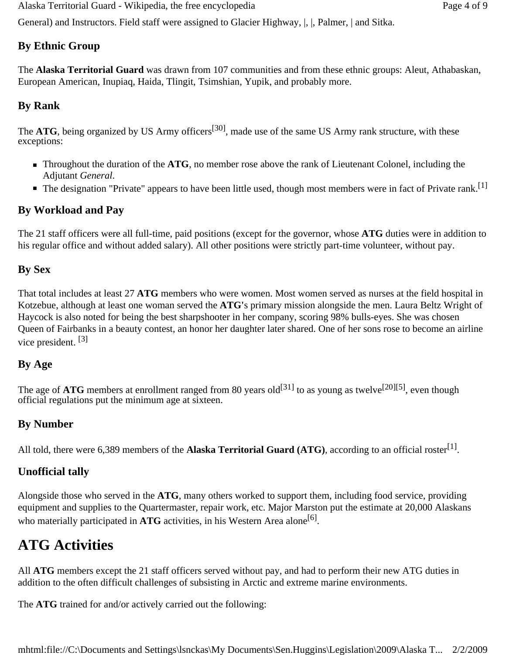Alaska Territorial Guard - Wikipedia, the free encyclopedia Page 4 of 9

General) and Instructors. Field staff were assigned to Glacier Highway, |, |, Palmer, | and Sitka.

#### **By Ethnic Group**

The **Alaska Territorial Guard** was drawn from 107 communities and from these ethnic groups: Aleut, Athabaskan, European American, Inupiaq, Haida, Tlingit, Tsimshian, Yupik, and probably more.

#### **By Rank**

The **ATG**, being organized by US Army officers<sup>[30]</sup>, made use of the same US Army rank structure, with these exceptions:

- **Throughout the duration of the ATG**, no member rose above the rank of Lieutenant Colonel, including the Adjutant *General*.
- $\blacksquare$  The designation "Private" appears to have been little used, though most members were in fact of Private rank.<sup>[1]</sup>

#### **By Workload and Pay**

The 21 staff officers were all full-time, paid positions (except for the governor, whose **ATG** duties were in addition to his regular office and without added salary). All other positions were strictly part-time volunteer, without pay.

#### **By Sex**

That total includes at least 27 **ATG** members who were women. Most women served as nurses at the field hospital in Kotzebue, although at least one woman served the **ATG'**s primary mission alongside the men. Laura Beltz Wright of Haycock is also noted for being the best sharpshooter in her company, scoring 98% bulls-eyes. She was chosen Queen of Fairbanks in a beauty contest, an honor her daughter later shared. One of her sons rose to become an airline vice president. [3]

#### **By Age**

The age of **ATG** members at enrollment ranged from 80 years old<sup>[31]</sup> to as young as twelve<sup>[20][5]</sup>, even though official regulations put the minimum age at sixteen.

#### **By Number**

All told, there were 6,389 members of the **Alaska Territorial Guard (ATG)**, according to an official roster<sup>[1]</sup>.

#### **Unofficial tally**

Alongside those who served in the **ATG**, many others worked to support them, including food service, providing equipment and supplies to the Quartermaster, repair work, etc. Major Marston put the estimate at 20,000 Alaskans who materially participated in  $\text{ATG}$  activities, in his Western Area alone<sup>[6]</sup>.

### **ATG Activities**

All **ATG** members except the 21 staff officers served without pay, and had to perform their new ATG duties in addition to the often difficult challenges of subsisting in Arctic and extreme marine environments.

The **ATG** trained for and/or actively carried out the following: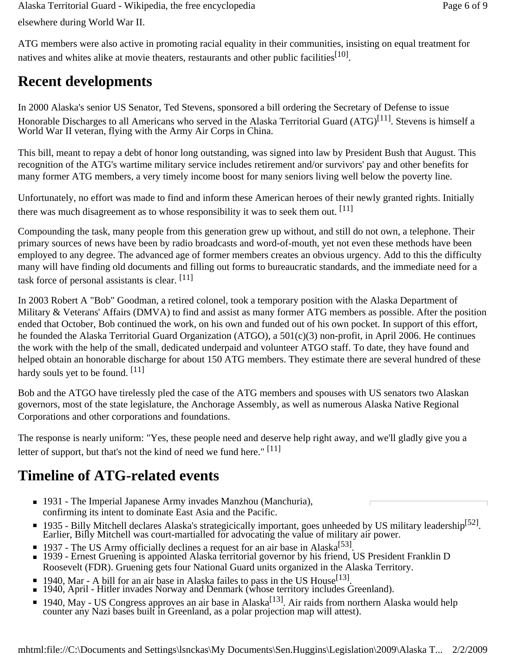elsewhere during World War II. Alaska Territorial Guard - Wikipedia, the free encyclopedia **Page 6 of 9** and 2011 and 2012 and 2013

ATG members were also active in promoting racial equality in their communities, insisting on equal treatment for natives and whites alike at movie theaters, restaurants and other public facilities<sup>[10]</sup>.

# **Recent developments**

In 2000 Alaska's senior US Senator, Ted Stevens, sponsored a bill ordering the Secretary of Defense to issue Honorable Discharges to all Americans who served in the Alaska Territorial Guard (ATG)<sup>[11]</sup>. Stevens is himself a World War II veteran, flying with the Army Air Corps in China.

This bill, meant to repay a debt of honor long outstanding, was signed into law by President Bush that August. This recognition of the ATG's wartime military service includes retirement and/or survivors' pay and other benefits for many former ATG members, a very timely income boost for many seniors living well below the poverty line.

Unfortunately, no effort was made to find and inform these American heroes of their newly granted rights. Initially there was much disagreement as to whose responsibility it was to seek them out. [11]

Compounding the task, many people from this generation grew up without, and still do not own, a telephone. Their primary sources of news have been by radio broadcasts and word-of-mouth, yet not even these methods have been employed to any degree. The advanced age of former members creates an obvious urgency. Add to this the difficulty many will have finding old documents and filling out forms to bureaucratic standards, and the immediate need for a task force of personal assistants is clear. [11]

In 2003 Robert A "Bob" Goodman, a retired colonel, took a temporary position with the Alaska Department of Military & Veterans' Affairs (DMVA) to find and assist as many former ATG members as possible. After the position ended that October, Bob continued the work, on his own and funded out of his own pocket. In support of this effort, he founded the Alaska Territorial Guard Organization (ATGO), a 501(c)(3) non-profit, in April 2006. He continues the work with the help of the small, dedicated underpaid and volunteer ATGO staff. To date, they have found and helped obtain an honorable discharge for about 150 ATG members. They estimate there are several hundred of these hardy souls yet to be found.  $[11]$ 

Bob and the ATGO have tirelessly pled the case of the ATG members and spouses with US senators two Alaskan governors, most of the state legislature, the Anchorage Assembly, as well as numerous Alaska Native Regional Corporations and other corporations and foundations.

The response is nearly uniform: "Yes, these people need and deserve help right away, and we'll gladly give you a letter of support, but that's not the kind of need we fund here." [11]

# **Timeline of ATG-related events**

- 1931 The Imperial Japanese Army invades Manzhou (Manchuria), confirming its intent to dominate East Asia and the Pacific.
- 1935 Billy Mitchell declares Alaska's strategicically important, goes unheeded by US military leadership<sup>[52]</sup>. Earlier, Billy Mitchell was court-martialled for advocating the value of military air power.
- 1937 The US Army officially declines a request for an air base in Alaska<sup>[53]</sup>.
- 1939 Ernest Gruening is appointed Alaska territorial governor by his friend, US President Franklin D Roosevelt (FDR). Gruening gets four National Guard units organized in the Alaska Territory.
- 1940, Mar A bill for an air base in Alaska failes to pass in the US House<sup>[13]</sup>.
- 1940, April Hitler invades Norway and Denmark (whose territory includes Greenland).
- 1940, May US Congress approves an air base in Alaska<sup>[13]</sup>. Air raids from northern Alaska would help counter any Nazi bases built in Greenland, as a polar projection map will attest).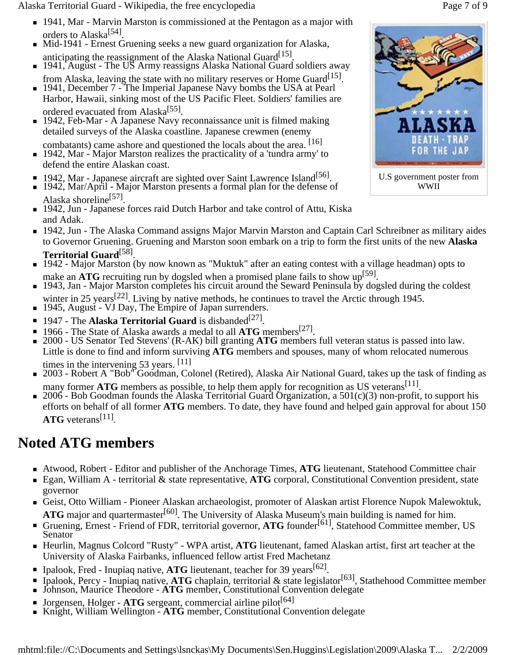Alaska Territorial Guard - Wikipedia, the free encyclopedia **Page 7** of 9

- 1941, Mar Marvin Marston is commissioned at the Pentagon as a major with orders to Alaska<sup>[54]</sup>.
- Mid-1941 Ernest Gruening seeks a new guard organization for Alaska, anticipating the reassignment of the Alaska National Guard<sup>[15]</sup>.
- 1941, August The US Army reassigns Alaska National Guard soldiers away from Alaska, leaving the state with no military reserves or Home Guard<sup>[15]</sup>.
- 1941, December 7 The Imperial Japanese Navy bombs the USA at Pearl Harbor, Hawaii, sinking most of the US Pacific Fleet. Soldiers' families are ordered evacuated from Alaska<sup>[55]</sup>.
- 1942, Feb-Mar A Japanese Navy reconnaissance unit is filmed making detailed surveys of the Alaska coastline. Japanese crewmen (enemy
- combatants) came ashore and questioned the locals about the area. [16] 1942, Mar - Major Marston realizes the practicality of a 'tundra army' to defend the entire Alaskan coast.
- $\blacksquare$  1942, Mar Japanese aircraft are sighted over Saint Lawrence Island<sup>[56]</sup>.
- 1942, Mar/April Major Marston presents a formal plan for the defense of Alaska shoreline<sup>[57]</sup>.
- 1942, Jun Japanese forces raid Dutch Harbor and take control of Attu, Kiska and Adak.
- 1942, Jun The Alaska Command assigns Major Marvin Marston and Captain Carl Schreibner as military aides to Governor Gruening. Gruening and Marston soon embark on a trip to form the first units of the new **Alaska Territorial Guard**[58].
- 1942 Major Marston (by now known as "Muktuk" after an eating contest with a village headman) opts to make an **ATG** recruiting run by dogsled when a promised plane fails to show up<sup>[59]</sup>.
- 1943, Jan Major Marston completes his circuit around the Seward Peninsula by dogsled during the coldest winter in 25 years<sup>[22]</sup>. Living by native methods, he continues to travel the Arctic through 1945.
- 1945, August VJ Day, The Empire of Japan surrenders.
- 1947 The **Alaska Territorial Guard** is disbanded<sup>[27]</sup>.
- 1966 The State of Alaska awards a medal to all **ATG** members<sup>[27]</sup>.
- 2000 US Senator Ted Stevens' (R-AK) bill granting **ATG** members full veteran status is passed into law. Little is done to find and inform surviving **ATG** members and spouses, many of whom relocated numerous times in the intervening  $53$  years.  $[11]$
- 2003 Robert A "Bob" Goodman, Colonel (Retired), Alaska Air National Guard, takes up the task of finding as many former **ATG** members as possible, to help them apply for recognition as US veterans<sup>[11]</sup>.
- 2006 Bob Goodman founds the Alaska Territorial Guard Organization, a  $501(c)(3)$  non-profit, to support his efforts on behalf of all former **ATG** members. To date, they have found and helped gain approval for about 150 **ATG** veterans<sup>[11]</sup>.

# **Noted ATG members**

- Atwood, Robert Editor and publisher of the Anchorage Times, **ATG** lieutenant, Statehood Committee chair
- Egan, William A territorial & state representative, **ATG** corporal, Constitutional Convention president, state governor
- Geist, Otto William Pioneer Alaskan archaeologist, promoter of Alaskan artist Florence Nupok Malewoktuk, **ATG** major and quartermaster<sup>[60]</sup>. The University of Alaska Museum's main building is named for him.
- Gruening, Ernest Friend of FDR, territorial governor, ATG founder<sup>[61]</sup>, Statehood Committee member, US Senator
- Heurlin, Magnus Colcord "Rusty" WPA artist, **ATG** lieutenant, famed Alaskan artist, first art teacher at the University of Alaska Fairbanks, influenced fellow artist Fred Machetanz
- Ipalook, Fred Inupiaq native, **ATG** lieutenant, teacher for 39 years<sup>[62]</sup>.
- Ipalook, Percy Inupiaq native, **ATG** chaplain, territorial & state legislator<sup>[63]</sup>, Stathehood Committee member
- Johnson, Maurice Theodore **ATG** member, Constitutional Convention delegate
- Jorgensen, Holger ATG sergeant, commercial airline pilot<sup>[64]</sup>
- Knight, William Wellington ATG member, Constitutional Convention delegate

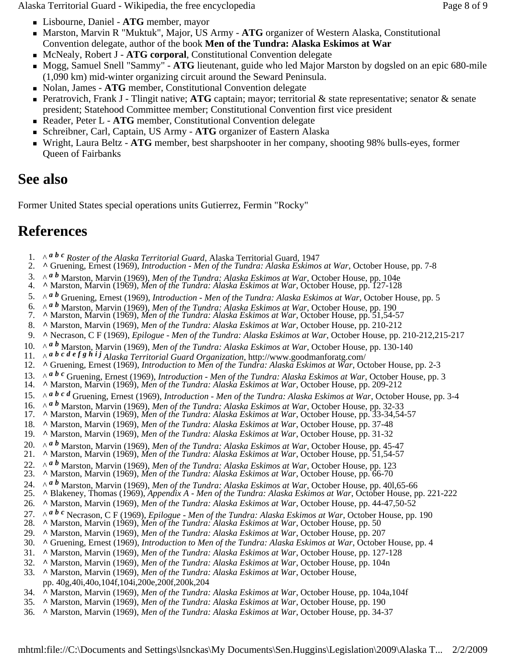Alaska Territorial Guard - Wikipedia, the free encyclopedia Page 8 of 9

- Lisbourne, Daniel **ATG** member, mayor
- Marston, Marvin R "Muktuk", Major, US Army **ATG** organizer of Western Alaska, Constitutional Convention delegate, author of the book **Men of the Tundra: Alaska Eskimos at War**
- McNealy, Robert J **ATG corporal**, Constitutional Convention delegate
- Mogg, Samuel Snell "Sammy" **ATG** lieutenant, guide who led Major Marston by dogsled on an epic 680-mile (1,090 km) mid-winter organizing circuit around the Seward Peninsula.
- Nolan, James **ATG** member, Constitutional Convention delegate
- Peratrovich, Frank J Tlingit native; **ATG** captain; mayor; territorial & state representative; senator & senate president; Statehood Committee member; Constitutional Convention first vice president
- Reader, Peter L **ATG** member, Constitutional Convention delegate
- Schreibner, Carl, Captain, US Army **ATG** organizer of Eastern Alaska
- Wright, Laura Beltz **ATG** member, best sharpshooter in her company, shooting 98% bulls-eyes, former Queen of Fairbanks

### **See also**

Former United States special operations units Gutierrez, Fermin "Rocky"

### **References**

- 1. ^ *<sup>a</sup> <sup>b</sup> <sup>c</sup> Roster of the Alaska Territorial Guard*, Alaska Territorial Guard, 1947
- 2. **^** Gruening, Ernest (1969), *Introduction Men of the Tundra: Alaska Eskimos at War*, October House, pp. 7-8
- 3.  $\wedge$  a b Marston, Marvin (1969), Men of the Tundra: Alaska Eskimos at War, October House, pp. 104e 4.  $\wedge$  Marston, Marvin (1969), Men of the Tundra: Alaska Eskimos at War, October House, pp. 127-128
- 
- 5. ^ *a b* Gruening, Ernest (1969), *Introduction Men of the Tundra: Alaska Eskimos at War*, October House, pp. 5
- 6.  $\land$  a b Marston, Marvin (1969), Men of the Tundra: Alaska Eskimos at War, October House, pp. 190<br>7. A Marston, Marvin (1969), Men of the Tundra: Alaska Eskimos at War, October House, pp. 190
- 
- 8. **^** Marston, Marvin (1969), *Men of the Tundra: Alaska Eskimos at War*, October House, pp. 210-212
- 9. **^** Necrason, C F (1969), *Epilogue Men of the Tundra: Alaska Eskimos at War*, October House, pp. 210-212,215-217
- 10.  $\wedge$  *a b* Marston, Marvin (1969), *Men of the Tundra: Alaska Eskimos at War*, October House, pp. 130-140<br>11.  $\wedge$  *a b c d e f g h i j Alaska Territorial Guard Organization* http://www.goodmanforatg.com/
- 11.  $\land$  **a** b c d e f g h i j Alaska Territorial Guard Organization, http://www.goodmanforatg.com/<br>12. ^ Gruening, Ernest (1969), Introduction to Men of the Tundra: Alaska Eskimos at War, October House, pp. 2-3
- 
- 13. A a b c Gruening, Ernest (1969), *Introduction Men of the Tundra: Alaska Eskimos at War*, October House, pp. 3<br>14. A Marston, Marvin (1969), *Men of the Tundra: Alaska Eskimos at War*, October House, pp. 209-212
- 
- 15. ^ *<sup>a</sup> <sup>b</sup> <sup>c</sup> <sup>d</sup>* Gruening, Ernest (1969), *Introduction Men of the Tundra: Alaska Eskimos at War*, October House, pp. 3-4
- 16. A <sup>a b</sup> Marston, Marvin (1969), Men of the Tundra: Alaska Eskimos at War, October House, pp. 32-33<br>17. A Marston, Marvin (1969), Men of the Tundra: Alaska Eskimos at War, October House, pp. 33-34,54-57
- 
- 18. **^** Marston, Marvin (1969), *Men of the Tundra: Alaska Eskimos at War*, October House, pp. 37-48
- 19. **^** Marston, Marvin (1969), *Men of the Tundra: Alaska Eskimos at War*, October House, pp. 31-32
- 20.  $\land$  a b Marston, Marvin (1969), Men of the Tundra: Alaska Eskimos at War, October House, pp. 45-47<br>21. ^ Marston, Marvin (1969), Men of the Tundra: Alaska Eskimos at War, October House, pp. 51,54-57
- 
- 22.  $\wedge$  a b Marston, Marvin (1969), Men of the Tundra: Alaska Eskimos at War, October House, pp. 123<br>23. ^ Marston, Marvin (1969), Men of the Tundra: Alaska Eskimos at War, October House, pp. 66-70
- 
- 
- 24. A <sup>a b</sup> Marston, Marvin (1969), *Men of the Tundra: Alaska Eskimos at War*, October House, pp. 401,65-66<br>25. A Blakeney, Thomas (1969), *Appendix A Men of the Tundra: Alaska Eskimos at War*, October House, pp. 221-22
- 26. **^** Marston, Marvin (1969), *Men of the Tundra: Alaska Eskimos at War*, October House, pp. 44-47,50-52
- 27. ^ <sup>a b c</sup> Necrason, C F (1969), *Epilogue Men of the Tundra: Alaska Eskimos at War*, October House, pp. 190<br>28. ^ Marston, Marvin (1969), *Men of the Tundra: Alaska Eskimos at War*, October House, pp. 50
- 
- 29. **^** Marston, Marvin (1969), *Men of the Tundra: Alaska Eskimos at War*, October House, pp. 207
- 30. **^** Gruening, Ernest (1969), *Introduction to Men of the Tundra: Alaska Eskimos at War*, October House, pp. 4
- 31. **^** Marston, Marvin (1969), *Men of the Tundra: Alaska Eskimos at War*, October House, pp. 127-128
- 32. **^** Marston, Marvin (1969), *Men of the Tundra: Alaska Eskimos at War*, October House, pp. 104n
- 33. **^** Marston, Marvin (1969), *Men of the Tundra: Alaska Eskimos at War*, October House, pp. 40g,40i,40o,104f,104i,200e,200f,200k,204
- 34. **^** Marston, Marvin (1969), *Men of the Tundra: Alaska Eskimos at War*, October House, pp. 104a,104f
- 35. **^** Marston, Marvin (1969), *Men of the Tundra: Alaska Eskimos at War*, October House, pp. 190
- 36. **^** Marston, Marvin (1969), *Men of the Tundra: Alaska Eskimos at War*, October House, pp. 34-37